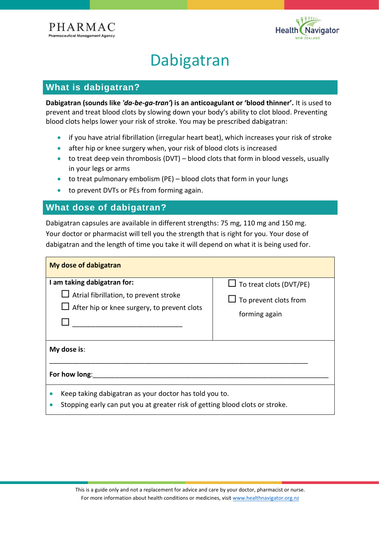



# Dabigatran

## **What is dabigatran?**

**Dabigatran (sounds like** *'da-be-ga-tran'***) is an anticoagulant or 'blood thinner'.** It is used to prevent and treat blood clots by slowing down your body's ability to clot blood. Preventing blood clots helps lower your risk of stroke. You may be prescribed dabigatran:

- if you have atrial fibrillation (irregular heart beat), which increases your risk of stroke
- after hip or knee surgery when, your risk of blood clots is increased
- to treat deep vein thrombosis (DVT) blood clots that form in blood vessels, usually in your legs or arms
- to treat pulmonary embolism (PE) blood clots that form in your lungs
- to prevent DVTs or PEs from forming again.

# **What dose of dabigatran?**

Dabigatran capsules are available in different strengths: 75 mg, 110 mg and 150 mg. Your doctor or pharmacist will tell you the strength that is right for you. Your dose of dabigatran and the length of time you take it will depend on what it is being used for.

| My dose of dabigatran                                                                                                                  |                                                                                 |
|----------------------------------------------------------------------------------------------------------------------------------------|---------------------------------------------------------------------------------|
| I am taking dabigatran for:<br>$\Box$ Atrial fibrillation, to prevent stroke<br>After hip or knee surgery, to prevent clots            | $\Box$ To treat clots (DVT/PE)<br>$\Box$ To prevent clots from<br>forming again |
| My dose is:                                                                                                                            |                                                                                 |
| For how long:                                                                                                                          |                                                                                 |
| Keep taking dabigatran as your doctor has told you to.<br>Stopping early can put you at greater risk of getting blood clots or stroke. |                                                                                 |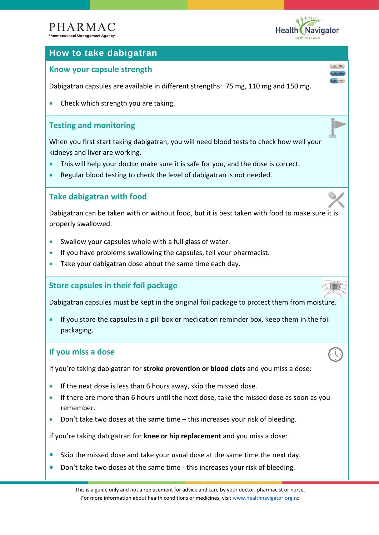# PHARMAC



 $CD$  R75

D

# **How to take dabigatran**

# **Know your capsule strength**

Dabigatran capsules are available in different strengths: 75 mg, 110 mg and 150 mg.

• Check which strength you are taking.

# **Testing and monitoring**

When you first start taking dabigatran, you will need blood tests to check how well your kidneys and liver are working.

- This will help your doctor make sure it is safe for you, and the dose is correct.
- Regular blood testing to check the level of dabigatran is not needed.

# **Take dabigatran with food**

Dabigatran can be taken with or without food, but it is best taken with food to make sure it is properly swallowed.

- Swallow your capsules whole with a full glass of water.
- If you have problems swallowing the capsules, tell your pharmacist.
- Take your dabigatran dose about the same time each day.

### **Store capsules in their foil package**

Dabigatran capsules must be kept in the original foil package to protect them from moisture.

• If you store the capsules in a pill box or medication reminder box, keep them in the foil packaging.

#### **If you miss a dose**

If you're taking dabigatran for **stroke prevention or blood clots** and you miss a dose:

- If the next dose is less than 6 hours away, skip the missed dose.
- If there are more than 6 hours until the next dose, take the missed dose as soon as you remember.
- Don't take two doses at the same time this increases your risk of bleeding.

If you're taking dabigatran for **knee or hip replacement** and you miss a dose:

- Skip the missed dose and take your usual dose at the same time the next day.
- Don't take two doses at the same time this increases your risk of bleeding.

This is a guide only and not a replacement for advice and care by your doctor, pharmacist or nurse. For more information about health conditions or medicines, visit [www.healthnavigator.org.nz](http://www.healthnavigator.org.nz/)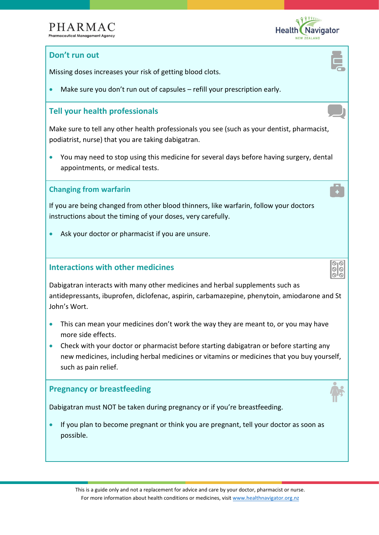

00 ەاە

# **Don't run out**

Missing doses increases your risk of getting blood clots.

Make sure you don't run out of capsules – refill your prescription early.

# **Tell your health professionals**

Make sure to tell any other health professionals you see (such as your dentist, pharmacist, podiatrist, nurse) that you are taking dabigatran.

• You may need to stop using this medicine for several days before having surgery, dental appointments, or medical tests.

#### **Changing from warfarin**

If you are being changed from other blood thinners, like warfarin, follow your doctors instructions about the timing of your doses, very carefully.

Ask your doctor or pharmacist if you are unsure.

#### **Interactions with other medicines**

Dabigatran interacts with many other medicines and herbal supplements such as antidepressants, ibuprofen, diclofenac, aspirin, carbamazepine, phenytoin, amiodarone and St John's Wort.

- This can mean your medicines don't work the way they are meant to, or you may have more side effects.
- Check with your doctor or pharmacist before starting dabigatran or before starting any new medicines, including herbal medicines or vitamins or medicines that you buy yourself, such as pain relief.

### **Pregnancy or breastfeeding**

Dabigatran must NOT be taken during pregnancy or if you're breastfeeding.

• If you plan to become pregnant or think you are pregnant, tell your doctor as soon as possible.

This is a guide only and not a replacement for advice and care by your doctor, pharmacist or nurse. For more information about health conditions or medicines, visit [www.healthnavigator.org.nz](http://www.healthnavigator.org.nz/)